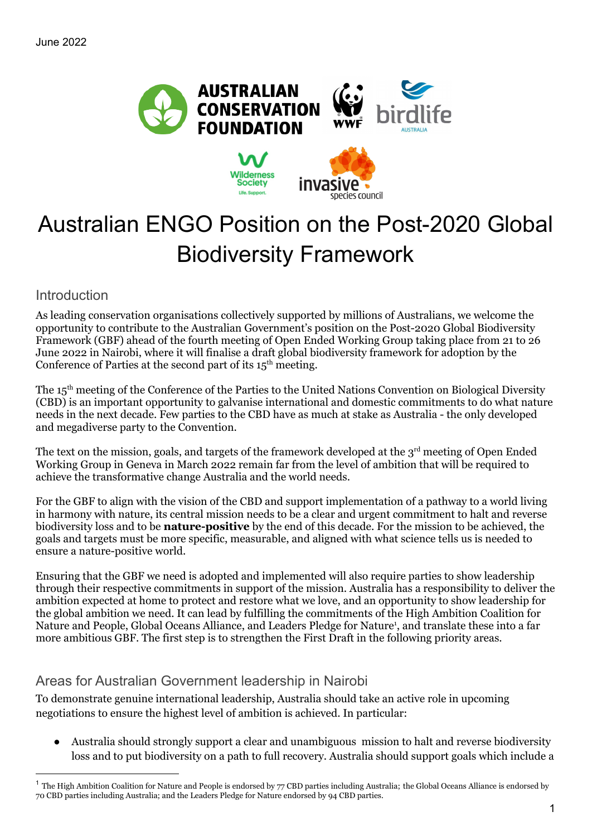

# Australian ENGO Position on the Post-2020 Global Biodiversity Framework

Introduction

As leading conservation organisations collectively supported by millions of Australians, we welcome the opportunity to contribute to the Australian Government's position on the Post-2020 Global Biodiversity Framework (GBF) ahead of the fourth meeting of Open Ended Working Group taking place from 21 to 26 June 2022 in Nairobi, where it will finalise a draft global biodiversity framework for adoption by the Conference of Parties at the second part of its  $15<sup>th</sup>$  meeting.

The 15<sup>th</sup> meeting of the [Conference](https://www.cbd.int/conferences/2021-2022) of the Parties to the United Nations Convention on Biological Diversity (CBD) is an important opportunity to galvanise international and domestic commitments to do what nature needs in the next decade. Few parties to the CBD have as much at stake as Australia - the only developed and megadiverse party to the Convention.

The text on the mission, goals, and targets of the framework developed at the  $3<sup>rd</sup>$  meeting of Open Ended Working Group in Geneva in March 2022 remain far from the level of ambition that will be required to achieve the transformative change Australia and the world needs.

For the GBF to align with the vision of the CBD and support implementation of a pathway to a world living in harmony with nature, its central mission needs to be a clear and urgent commitment to halt and reverse biodiversity loss and to be **nature-positive** by the end of this decade. For the mission to be achieved, the goals and targets must be more specific, measurable, and aligned with what science tells us is needed to ensure a nature-positive world.

Ensuring that the GBF we need is adopted and implemented will also require parties to show leadership through their respective commitments in support of the mission. Australia has a responsibility to deliver the ambition expected at home to protect and restore what we love, and an opportunity to show leadership for the global ambition we need. It can lead by fulfilling the commitments of the High Ambition Coalition for Nature and People, Global Oceans Alliance, and Leaders Pledge for Nature<sup>1</sup>, and translate these into a far more ambitious GBF. The first step is to strengthen the First Draft in the following priority areas.

# Areas for Australian Government leadership in Nairobi

To demonstrate genuine international leadership, Australia should take an active role in upcoming negotiations to ensure the highest level of ambition is achieved. In particular:

Australia should strongly support a clear and unambiguous mission to halt and reverse biodiversity loss and to put biodiversity on a path to full recovery. Australia should support goals which include a

 $<sup>1</sup>$  The High Ambition Coalition for Nature and People is endorsed by 77 CBD parties including Australia; the Global Oceans Alliance is endorsed by</sup> 70 CBD parties including Australia; and the Leaders Pledge for Nature endorsed by 94 CBD parties.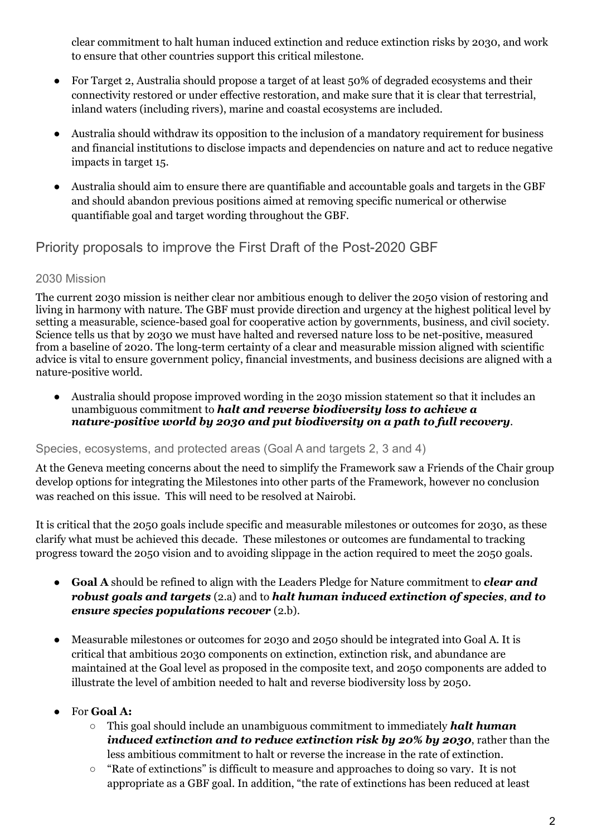clear commitment to halt human induced extinction and reduce extinction risks by 2030, and work to ensure that other countries support this critical milestone.

- For Target 2, Australia should propose a target of at least 50% of degraded ecosystems and their connectivity restored or under effective restoration, and make sure that it is clear that terrestrial, inland waters (including rivers), marine and coastal ecosystems are included.
- Australia should withdraw its opposition to the inclusion of a mandatory requirement for business and financial institutions to disclose impacts and dependencies on nature and act to reduce negative impacts in target 15.
- Australia should aim to ensure there are quantifiable and accountable goals and targets in the GBF and should abandon previous positions aimed at removing specific numerical or otherwise quantifiable goal and target wording throughout the GBF.

# Priority proposals to improve the First Draft of the Post-2020 GBF

## 2030 Mission

The current 2030 mission is neither clear nor ambitious enough to deliver the 2050 vision of restoring and living in harmony with nature. The GBF must provide direction and urgency at the highest political level by setting a measurable, science-based goal for cooperative action by governments, business, and civil society. Science tells us that by 2030 we must have halted and reversed nature loss to be net-positive, measured from a baseline of 2020. The long-term certainty of a clear and measurable mission aligned with scientific advice is vital to ensure government policy, financial investments, and business decisions are aligned with a nature-positive world.

● Australia should propose improved wording in the 2030 mission statement so that it includes an unambiguous commitment to *halt and reverse biodiversity loss to achieve a nature-positive world by 2030 and put biodiversity on a path to full recovery*.

## Species, ecosystems, and protected areas (Goal A and targets 2, 3 and 4)

At the Geneva meeting concerns about the need to simplify the Framework saw a Friends of the Chair group develop options for integrating the Milestones into other parts of the Framework, however no conclusion was reached on this issue. This will need to be resolved at Nairobi.

It is critical that the 2050 goals include specific and measurable milestones or outcomes for 2030, as these clarify what must be achieved this decade. These milestones or outcomes are fundamental to tracking progress toward the 2050 vision and to avoiding slippage in the action required to meet the 2050 goals.

- **Goal A** should be refined to align with the Leaders Pledge for Nature commitment to *clear and robust goals and targets* (2.a) and to *halt human induced extinction of species*, *and to ensure species populations recover* (2.b).
- Measurable milestones or outcomes for 2030 and 2050 should be integrated into Goal A. It is critical that ambitious 2030 components on extinction, extinction risk, and abundance are maintained at the Goal level as proposed in the composite text, and 2050 components are added to illustrate the level of ambition needed to halt and reverse biodiversity loss by 2050.

## **●** For **Goal A:**

- This goal should include an unambiguous commitment to immediately *halt human induced extinction and to reduce extinction risk by 20% by 2030*, rather than the less ambitious commitment to halt or reverse the increase in the rate of extinction.
- "Rate of extinctions" is difficult to measure and approaches to doing so vary. It is not appropriate as a GBF goal. In addition, "the rate of extinctions has been reduced at least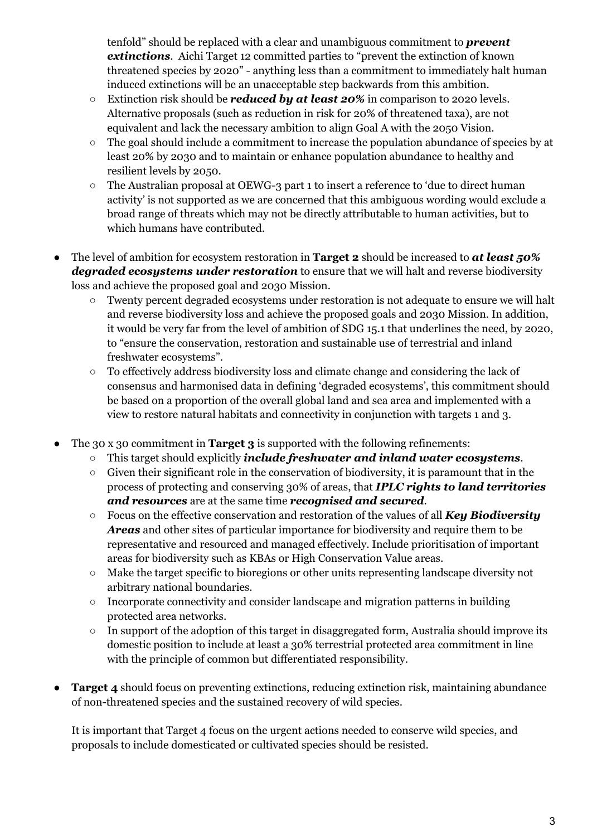tenfold" should be replaced with a clear and unambiguous commitment to *prevent extinctions*. Aichi Target 12 committed parties to "prevent the extinction of known threatened species by 2020" - anything less than a commitment to immediately halt human induced extinctions will be an unacceptable step backwards from this ambition.

- Extinction risk should be *reduced by at least 20%* in comparison to 2020 levels. Alternative proposals (such as reduction in risk for 20% of threatened taxa), are not equivalent and lack the necessary ambition to align Goal A with the 2050 Vision.
- The goal should include a commitment to increase the population abundance of species by at least 20% by 2030 and to maintain or enhance population abundance to healthy and resilient levels by 2050.
- The Australian proposal at OEWG-3 part 1 to insert a reference to 'due to direct human activity' is not supported as we are concerned that this ambiguous wording would exclude a broad range of threats which may not be directly attributable to human activities, but to which humans have contributed.
- The level of ambition for ecosystem restoration in **Target 2** should be increased to *at least 50% degraded ecosystems under restoration* to ensure that we will halt and reverse biodiversity loss and achieve the proposed goal and 2030 Mission.
	- Twenty percent degraded ecosystems under restoration is not adequate to ensure we will halt and reverse biodiversity loss and achieve the proposed goals and 2030 Mission. In addition, it would be very far from the level of ambition of SDG 15.1 that underlines the need, by 2020, to "ensure the conservation, restoration and sustainable use of terrestrial and inland freshwater ecosystems".
	- To effectively address biodiversity loss and climate change and considering the lack of consensus and harmonised data in defining 'degraded ecosystems', this commitment should be based on a proportion of the overall global land and sea area and implemented with a view to restore natural habitats and connectivity in conjunction with targets 1 and 3.
- The 30 x 30 commitment in **Target 3** is supported with the following refinements:
	- This target should explicitly *include freshwater and inland water ecosystems*.
	- Given their significant role in the conservation of biodiversity, it is paramount that in the process of protecting and conserving 30% of areas, that *IPLC rights to land territories and resources* are at the same time *recognised and secured*.
	- Focus on the effective conservation and restoration of the values of all *Key Biodiversity Areas* and other sites of particular importance for biodiversity and require them to be representative and resourced and managed effectively. Include prioritisation of important areas for biodiversity such as KBAs or High Conservation Value areas.
	- Make the target specific to bioregions or other units representing landscape diversity not arbitrary national boundaries.
	- Incorporate connectivity and consider landscape and migration patterns in building protected area networks.
	- In support of the adoption of this target in disaggregated form, Australia should improve its domestic position to include at least a 30% terrestrial protected area commitment in line with the principle of common but differentiated responsibility.
- **Target 4** should focus on preventing extinctions, reducing extinction risk, maintaining abundance of non-threatened species and the sustained recovery of wild species.

It is important that Target 4 focus on the urgent actions needed to conserve wild species, and proposals to include domesticated or cultivated species should be resisted.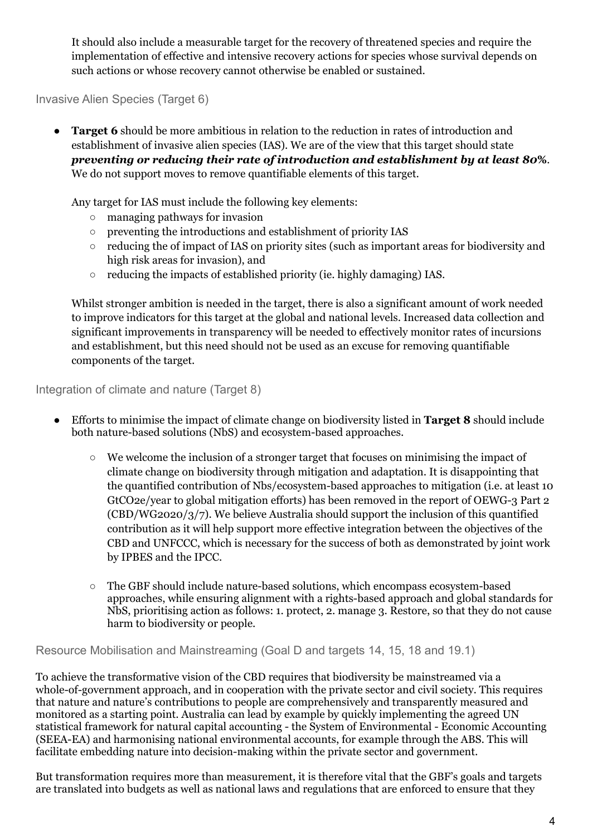It should also include a measurable target for the recovery of threatened species and require the implementation of effective and intensive recovery actions for species whose survival depends on such actions or whose recovery cannot otherwise be enabled or sustained.

Invasive Alien Species (Target 6)

**Target 6** should be more ambitious in relation to the reduction in rates of introduction and establishment of invasive alien species (IAS). We are of the view that this target should state *preventing or reducing their rate of introduction and establishment by at least 80***%**. We do not support moves to remove quantifiable elements of this target.

Any target for IAS must include the following key elements:

- managing pathways for invasion
- preventing the introductions and establishment of priority IAS
- reducing the of impact of IAS on priority sites (such as important areas for biodiversity and high risk areas for invasion), and
- reducing the impacts of established priority (ie. highly damaging) IAS.

Whilst stronger ambition is needed in the target, there is also a significant amount of work needed to improve indicators for this target at the global and national levels. Increased data collection and significant improvements in transparency will be needed to effectively monitor rates of incursions and establishment, but this need should not be used as an excuse for removing quantifiable components of the target.

Integration of climate and nature (Target 8)

- Efforts to minimise the impact of climate change on biodiversity listed in **Target 8** should include both nature-based solutions (NbS) and ecosystem-based approaches.
	- We welcome the inclusion of a stronger target that focuses on minimising the impact of climate change on biodiversity through mitigation and adaptation. It is disappointing that the quantified contribution of Nbs/ecosystem-based approaches to mitigation (i.e. at least 10 GtCO2e/year to global mitigation efforts) has been removed in the report of OEWG-3 Part 2 (CBD/WG2020/3/7). We believe Australia should support the inclusion of this quantified contribution as it will help support more effective integration between the objectives of the CBD and UNFCCC, which is necessary for the success of both as demonstrated by joint work by IPBES and the IPCC.
	- The GBF should include nature-based solutions, which encompass ecosystem-based approaches, while ensuring alignment with a rights-based approach and global standards for NbS, prioritising action as follows: 1. protect, 2. manage 3. Restore, so that they do not cause harm to biodiversity or people.

Resource Mobilisation and Mainstreaming (Goal D and targets 14, 15, 18 and 19.1)

To achieve the transformative vision of the CBD requires that biodiversity be mainstreamed via a whole-of-government approach, and in cooperation with the private sector and civil society. This requires that nature and nature's contributions to people are comprehensively and transparently measured and monitored as a starting point. Australia can lead by example by quickly implementing the agreed UN statistical framework for natural capital accounting - the System of Environmental - Economic Accounting (SEEA-EA) and harmonising national environmental accounts, for example through the ABS. This will facilitate embedding nature into decision-making within the private sector and government.

But transformation requires more than measurement, it is therefore vital that the GBF's goals and targets are translated into budgets as well as national laws and regulations that are enforced to ensure that they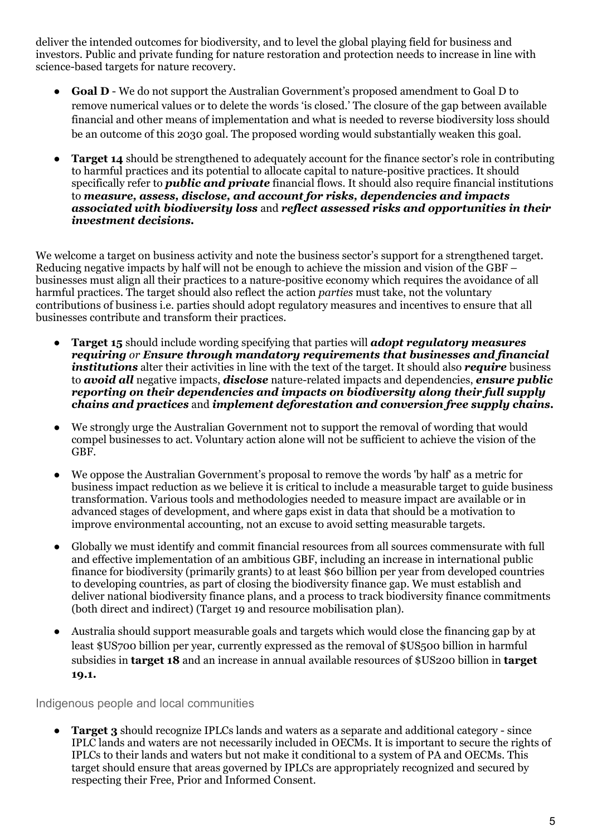deliver the intended outcomes for biodiversity, and to level the global playing field for business and investors. Public and private funding for nature restoration and protection needs to increase in line with science-based targets for nature recovery.

- **Goal D** We do not support the Australian Government's proposed amendment to Goal D to remove numerical values or to delete the words 'is closed.' The closure of the gap between available financial and other means of implementation and what is needed to reverse biodiversity loss should be an outcome of this 2030 goal. The proposed wording would substantially weaken this goal.
- **Target 14** should be strengthened to adequately account for the finance sector's role in contributing to harmful practices and its potential to allocate capital to nature-positive practices. It should specifically refer to *public and private* financial flows. It should also require financial institutions to *measure, assess, disclose, and account for risks, dependencies and impacts associated with biodiversity loss* and *reflect assessed risks and opportunities in their investment decisions.*

We welcome a target on business activity and note the business sector's support for a strengthened target. Reducing negative impacts by half will not be enough to achieve the mission and vision of the GBF – businesses must align all their practices to a nature-positive economy which requires the avoidance of all harmful practices. The target should also reflect the action *parties* must take, not the voluntary contributions of business i.e. parties should adopt regulatory measures and incentives to ensure that all businesses contribute and transform their practices.

- **Target 15** should include wording specifying that parties will *adopt regulatory measures requiring or Ensure through mandatory requirements that businesses and financial institutions* alter their activities in line with the text of the target. It should also *require* business to *avoid all* negative impacts, *disclose* nature-related impacts and dependencies, *ensure public reporting on their dependencies and impacts on biodiversity along their full supply chains and practices* and *implement deforestation and conversion free supply chains.*
- We strongly urge the Australian Government not to support the removal of wording that would compel businesses to act. Voluntary action alone will not be sufficient to achieve the vision of the GBF.
- We oppose the Australian Government's proposal to remove the words 'by half' as a metric for business impact reduction as we believe it is critical to include a measurable target to guide business transformation. Various tools and methodologies needed to measure impact are available or in advanced stages of development, and where gaps exist in data that should be a motivation to improve environmental accounting, not an excuse to avoid setting measurable targets.
- Globally we must identify and commit financial resources from all sources commensurate with full and effective implementation of an ambitious GBF, including an increase in international public finance for biodiversity (primarily grants) to at least \$60 billion per year from developed countries to developing countries, as part of closing the biodiversity finance gap. We must establish and deliver national biodiversity finance plans, and a process to track biodiversity finance commitments (both direct and indirect) (Target 19 and resource mobilisation plan).
- Australia should support measurable goals and targets which would close the financing gap by at least \$US700 billion per year, currently expressed as the removal of \$US500 billion in harmful subsidies in **target 18** and an increase in annual available resources of \$US200 billion in **target 19.1.**

Indigenous people and local communities

**Target 3** should recognize IPLCs lands and waters as a separate and additional category - since IPLC lands and waters are not necessarily included in OECMs. It is important to secure the rights of IPLCs to their lands and waters but not make it conditional to a system of PA and OECMs. This target should ensure that areas governed by IPLCs are appropriately recognized and secured by respecting their Free, Prior and Informed Consent.